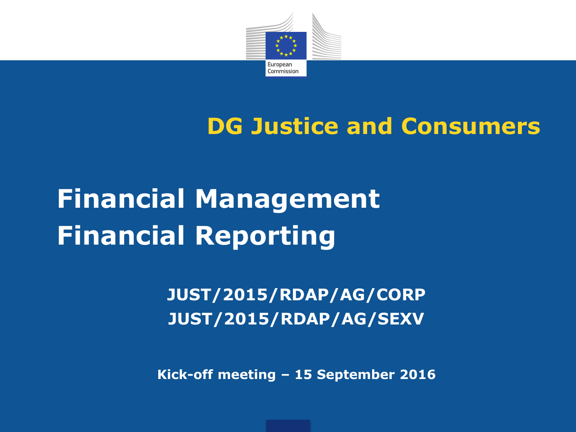

#### **DG Justice and Consumers**

# **Financial Management Financial Reporting**

**JUST/2015/RDAP/AG/CORP JUST/2015/RDAP/AG/SEXV**

**Kick-off meeting – 15 September 2016**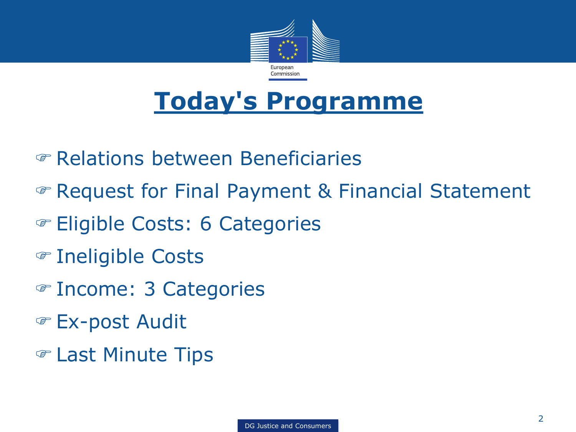

### **Today's Programme**

- Relations between Beneficiaries
- Request for Final Payment & Financial Statement
- Eligible Costs: 6 Categories
- Ineligible Costs
- Income: 3 Categories
- Ex-post Audit
- Last Minute Tips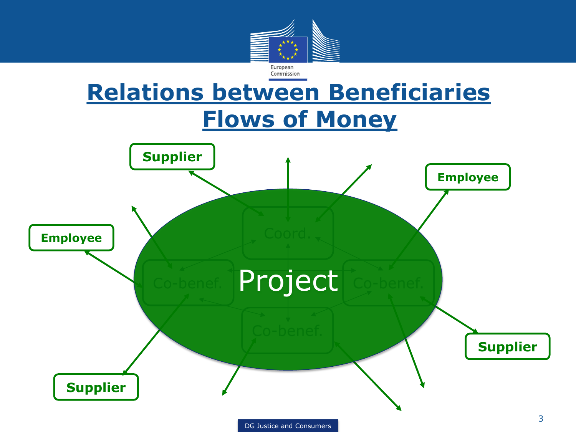

#### **Relations between Beneficiaries Flows of Money**

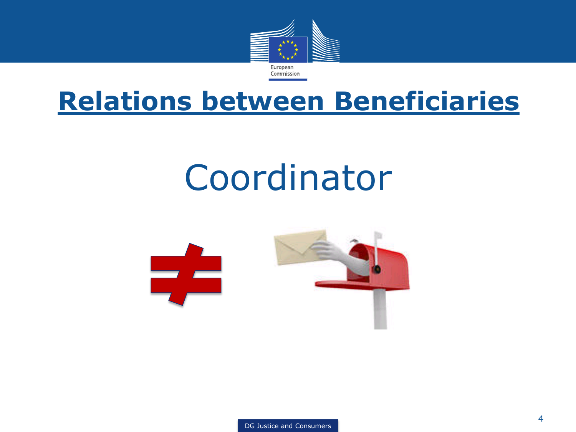

#### **Relations between Beneficiaries**

# Coordinator

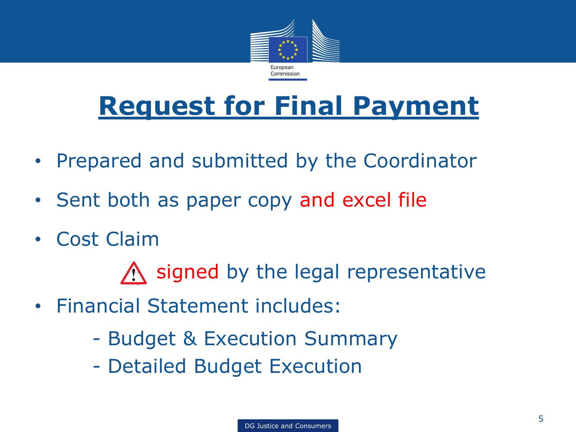

## **Request for Final Payment**

- Prepared and submitted by the Coordinator
- Sent both as paper copy and excel file
- Cost Claim

 $\bigwedge$  signed by the legal representative

- Financial Statement includes:
	- Budget & Execution Summary
	- Detailed Budget Execution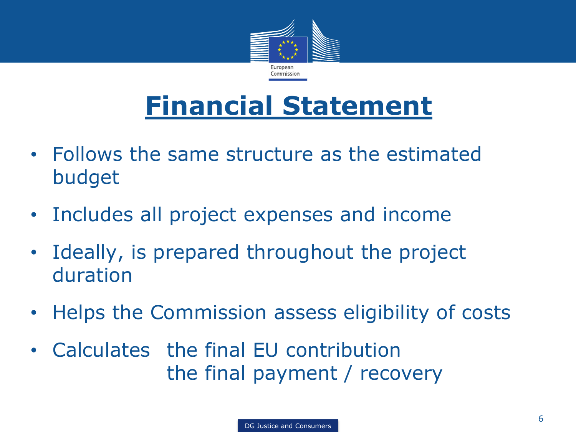

# **Financial Statement**

- Follows the same structure as the estimated budget
- Includes all project expenses and income
- Ideally, is prepared throughout the project duration
- Helps the Commission assess eligibility of costs
- Calculates the final EU contribution the final payment / recovery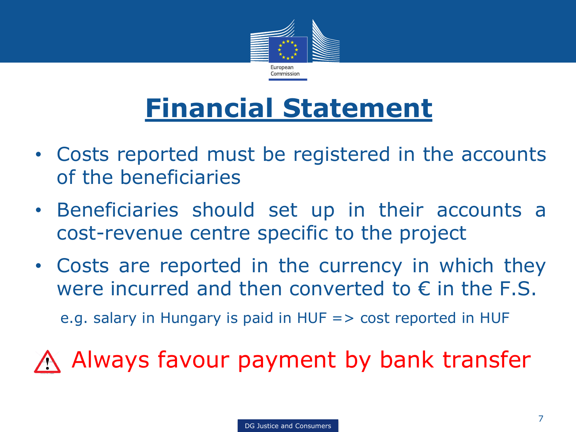

# **Financial Statement**

- Costs reported must be registered in the accounts of the beneficiaries
- Beneficiaries should set up in their accounts a cost-revenue centre specific to the project
- Costs are reported in the currency in which they were incurred and then converted to  $\epsilon$  in the F.S.

e.g. salary in Hungary is paid in HUF => cost reported in HUF

Always favour payment by bank transfer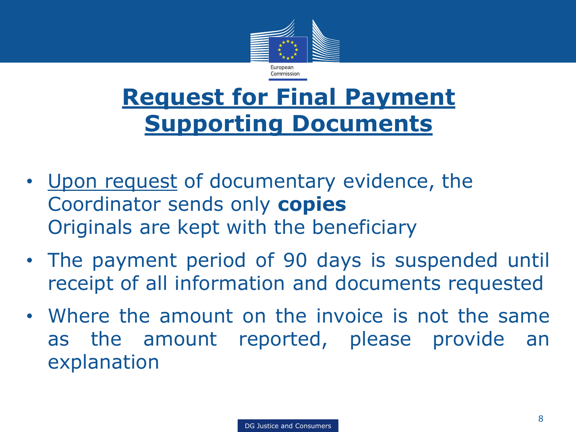

#### **Request for Final Payment Supporting Documents**

- Upon request of documentary evidence, the Coordinator sends only **copies** Originals are kept with the beneficiary
- The payment period of 90 days is suspended until receipt of all information and documents requested
- Where the amount on the invoice is not the same as the amount reported, please provide an explanation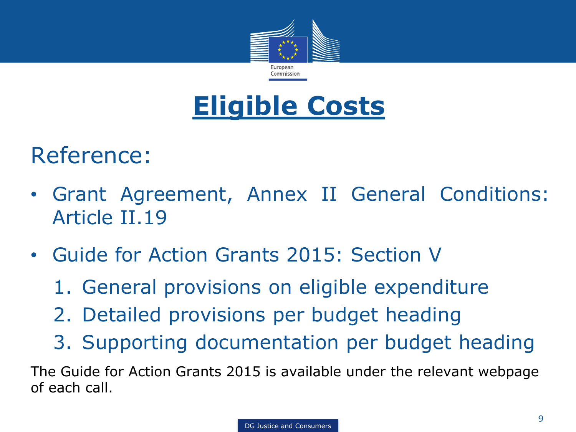

### **Eligible Costs**

#### Reference:

- Grant Agreement, Annex II General Conditions: Article II.19
- Guide for Action Grants 2015: Section V
	- 1. General provisions on eligible expenditure
	- 2. Detailed provisions per budget heading
	- 3. Supporting documentation per budget heading

The Guide for Action Grants 2015 is available under the relevant webpage of each call.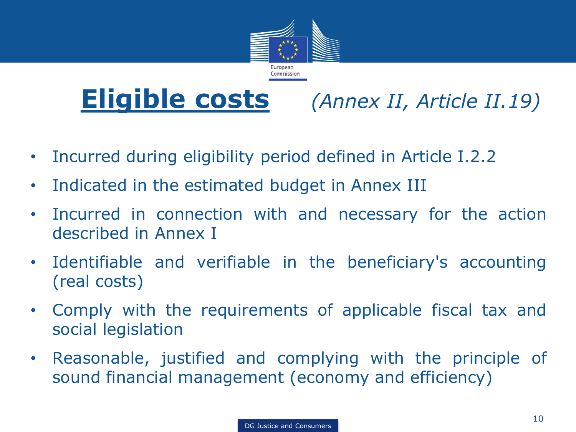

**Eligible costs** *(Annex II, Article II.19)*

- Incurred during eligibility period defined in Article I.2.2
- Indicated in the estimated budget in Annex III
- Incurred in connection with and necessary for the action described in Annex I
- Identifiable and verifiable in the beneficiary's accounting (real costs)
- Comply with the requirements of applicable fiscal tax and social legislation
- Reasonable, justified and complying with the principle of sound financial management (economy and efficiency)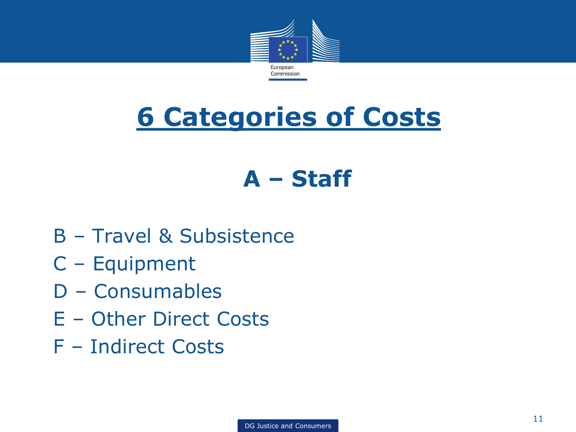

# **6 Categories of Costs**

#### **A – Staff**

- B Travel & Subsistence
- C Equipment
- D Consumables
- E Other Direct Costs
- F Indirect Costs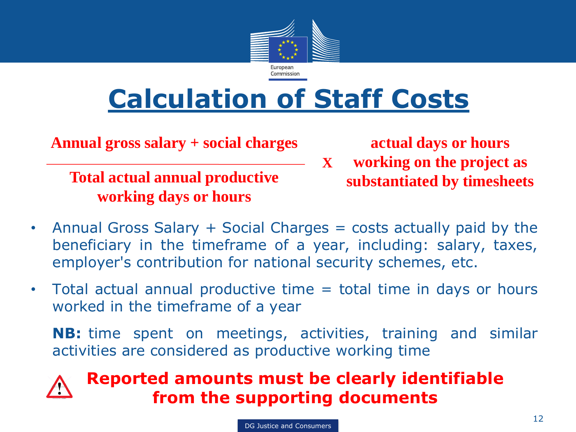

# **Calculation of Staff Costs**

**Annual gross salary + social charges**

**Total actual annual productive substantiated by timesheets working days or hours**

**actual days or hours** 

- **working on the project as X**
- Annual Gross Salary + Social Charges = costs actually paid by the beneficiary in the timeframe of a year, including: salary, taxes, employer's contribution for national security schemes, etc.
- Total actual annual productive time = total time in days or hours worked in the timeframe of a year

**NB:** time spent on meetings, activities, training and similar activities are considered as productive working time

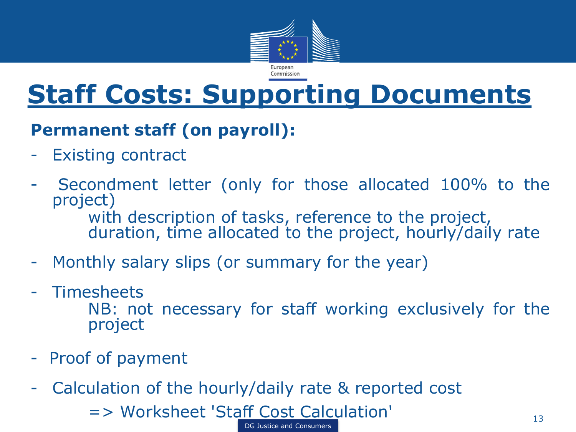

### **Staff Costs: Supporting Documents**

#### **Permanent staff (on payroll):**

- Existing contract
- Secondment letter (only for those allocated 100% to the project) with description of tasks, reference to the project,
	- duration, time allocated to the project, hourly/daily rate
- Monthly salary slips (or summary for the year)
- Timesheets

NB: not necessary for staff working exclusively for the project

- Proof of payment
- Calculation of the hourly/daily rate & reported cost

DG Justice and Consumers

=> Worksheet 'Staff Cost Calculation' 13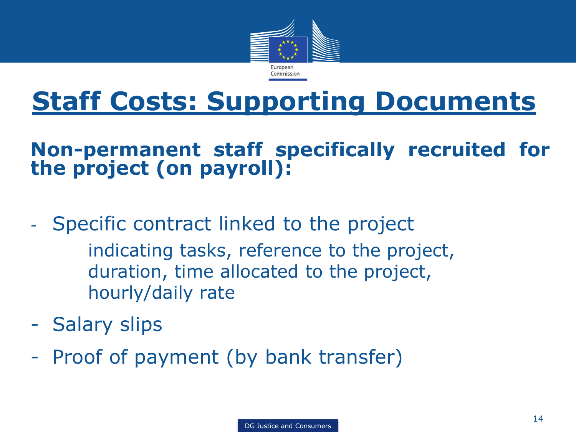

# **Staff Costs: Supporting Documents**

#### **Non-permanent staff specifically recruited for the project (on payroll):**

- Specific contract linked to the project
	- indicating tasks, reference to the project, duration, time allocated to the project, hourly/daily rate
- Salary slips
- Proof of payment (by bank transfer)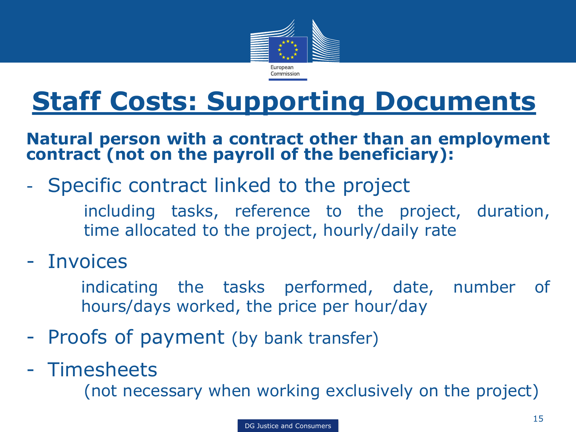

# **Staff Costs: Supporting Documents**

#### **Natural person with a contract other than an employment contract (not on the payroll of the beneficiary):**

- Specific contract linked to the project
	- including tasks, reference to the project, duration, time allocated to the project, hourly/daily rate
- Invoices
	- indicating the tasks performed, date, number of hours/days worked, the price per hour/day
- Proofs of payment (by bank transfer)
- Timesheets

(not necessary when working exclusively on the project)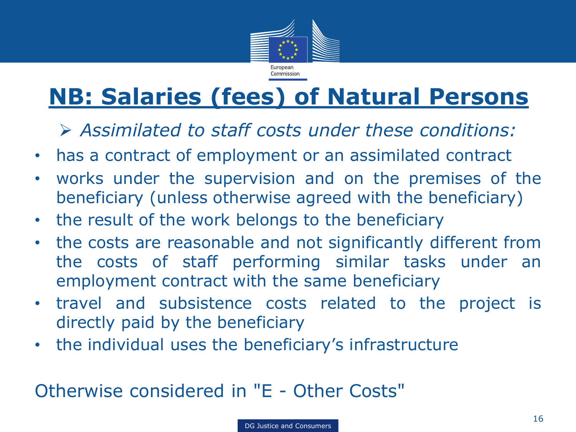

#### **NB: Salaries (fees) of Natural Persons**

*Assimilated to staff costs under these conditions:*

- has a contract of employment or an assimilated contract
- works under the supervision and on the premises of the beneficiary (unless otherwise agreed with the beneficiary)
- the result of the work belongs to the beneficiary
- the costs are reasonable and not significantly different from the costs of staff performing similar tasks under an employment contract with the same beneficiary
- travel and subsistence costs related to the project is directly paid by the beneficiary
- the individual uses the beneficiary's infrastructure

#### Otherwise considered in "E - Other Costs"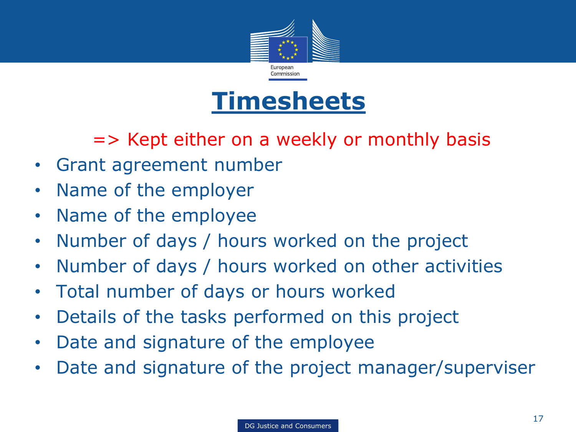

#### **Timesheets**

=> Kept either on a weekly or monthly basis

- Grant agreement number
- Name of the employer
- Name of the employee
- Number of days / hours worked on the project
- Number of days / hours worked on other activities
- Total number of days or hours worked
- Details of the tasks performed on this project
- Date and signature of the employee
- Date and signature of the project manager/superviser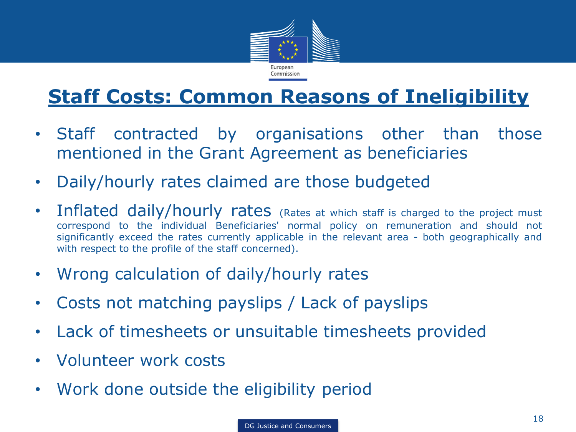

#### **Staff Costs: Common Reasons of Ineligibility**

- Staff contracted by organisations other than those mentioned in the Grant Agreement as beneficiaries
- Daily/hourly rates claimed are those budgeted
- Inflated daily/hourly rates (Rates at which staff is charged to the project must correspond to the individual Beneficiaries' normal policy on remuneration and should not significantly exceed the rates currently applicable in the relevant area - both geographically and with respect to the profile of the staff concerned).
- Wrong calculation of daily/hourly rates
- Costs not matching payslips / Lack of payslips
- Lack of timesheets or unsuitable timesheets provided
- Volunteer work costs
- Work done outside the eligibility period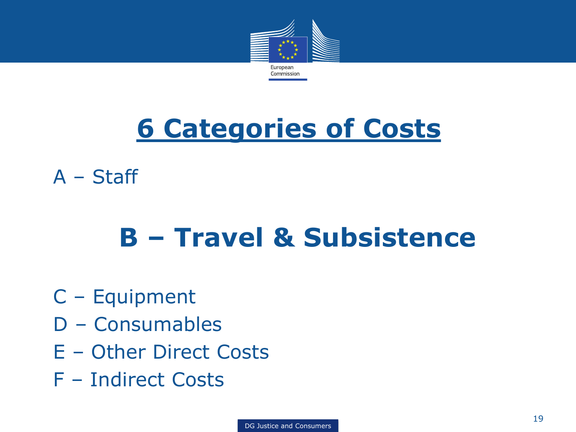

# **6 Categories of Costs**

A – Staff

# **B – Travel & Subsistence**

- C Equipment
- D Consumables
- E Other Direct Costs
- F Indirect Costs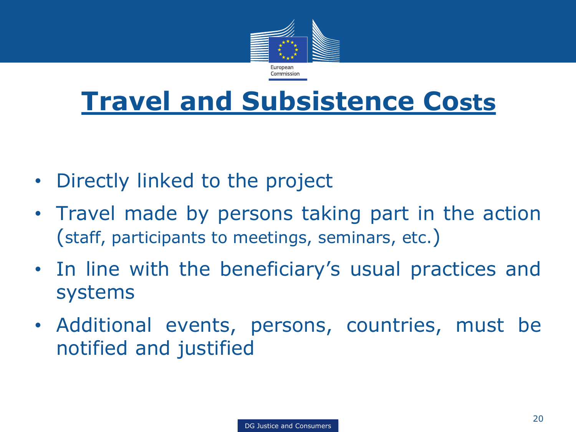

### **Travel and Subsistence Costs**

- Directly linked to the project
- Travel made by persons taking part in the action (staff, participants to meetings, seminars, etc.)
- In line with the beneficiary's usual practices and systems
- Additional events, persons, countries, must be notified and justified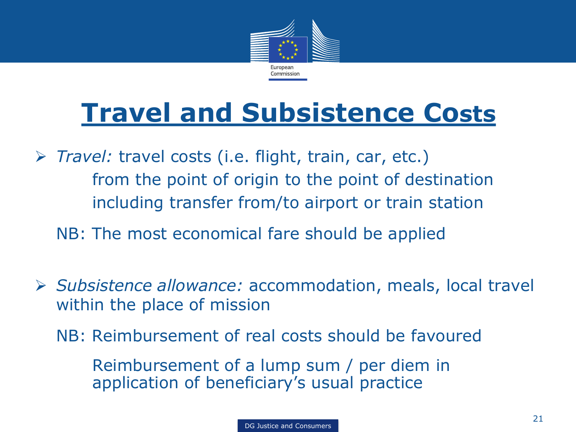

# **Travel and Subsistence Costs**

 *Travel:* travel costs (i.e. flight, train, car, etc.) from the point of origin to the point of destination including transfer from/to airport or train station

NB: The most economical fare should be applied

- *Subsistence allowance:* accommodation, meals, local travel within the place of mission
	- NB: Reimbursement of real costs should be favoured

Reimbursement of a lump sum / per diem in application of beneficiary's usual practice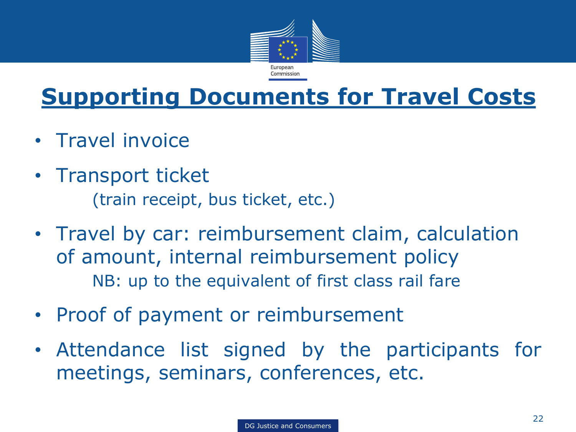

#### **Supporting Documents for Travel Costs**

- Travel invoice
- Transport ticket (train receipt, bus ticket, etc.)
- Travel by car: reimbursement claim, calculation of amount, internal reimbursement policy NB: up to the equivalent of first class rail fare
- Proof of payment or reimbursement
- Attendance list signed by the participants for meetings, seminars, conferences, etc.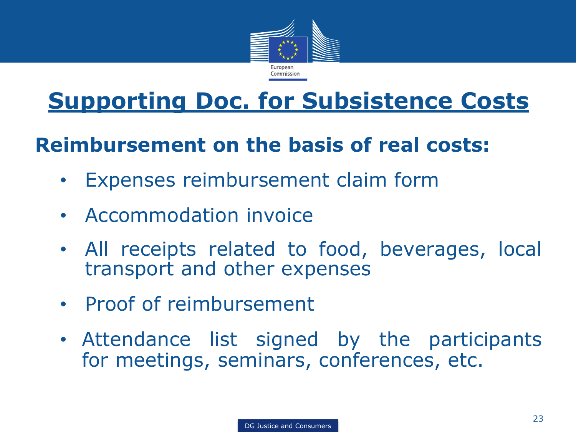

#### **Supporting Doc. for Subsistence Costs**

#### **Reimbursement on the basis of real costs:**

- Expenses reimbursement claim form
- Accommodation invoice
- All receipts related to food, beverages, local transport and other expenses
- Proof of reimbursement
- Attendance list signed by the participants for meetings, seminars, conferences, etc.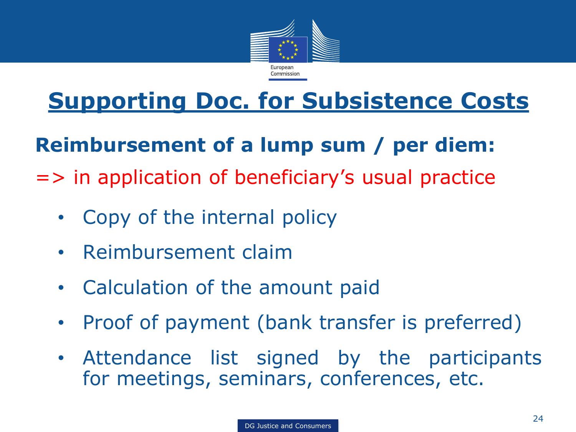

#### **Supporting Doc. for Subsistence Costs**

#### **Reimbursement of a lump sum / per diem:**

=> in application of beneficiary's usual practice

- Copy of the internal policy
- Reimbursement claim
- Calculation of the amount paid
- Proof of payment (bank transfer is preferred)
- Attendance list signed by the participants for meetings, seminars, conferences, etc.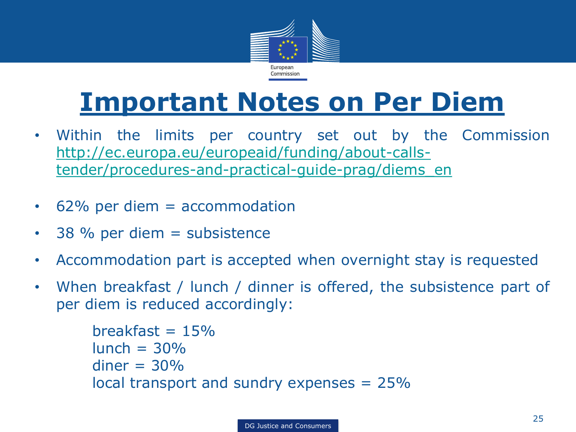

# **Important Notes on Per Diem**

- Within the limits per country set out by the Commission [http://ec.europa.eu/europeaid/funding/about-calls](http://ec.europa.eu/europeaid/funding/about-calls-tender/procedures-and-practical-guide-prag/diems_en)[tender/procedures-and-practical-guide-prag/diems\\_en](http://ec.europa.eu/europeaid/funding/about-calls-tender/procedures-and-practical-guide-prag/diems_en)
- 62% per diem = accommodation
- 38 % per diem = subsistence
- Accommodation part is accepted when overnight stay is requested
- When breakfast / lunch / dinner is offered, the subsistence part of per diem is reduced accordingly:

```
breakfast = 15\%lunch = 30%diner = 30%local transport and sundry expenses = 25%
```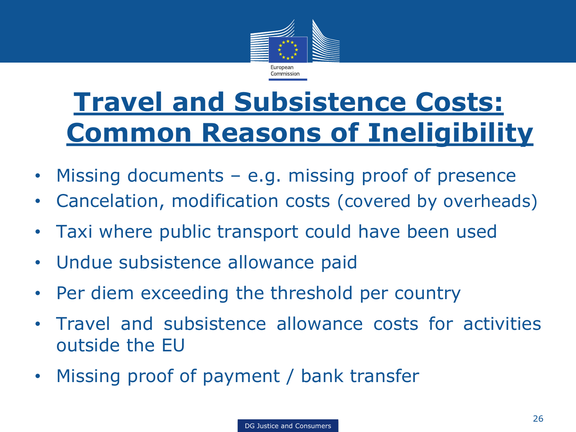

# **Travel and Subsistence Costs: Common Reasons of Ineligibility**

- Missing documents e.g. missing proof of presence
- Cancelation, modification costs (covered by overheads)
- Taxi where public transport could have been used
- Undue subsistence allowance paid
- Per diem exceeding the threshold per country
- Travel and subsistence allowance costs for activities outside the EU
- Missing proof of payment / bank transfer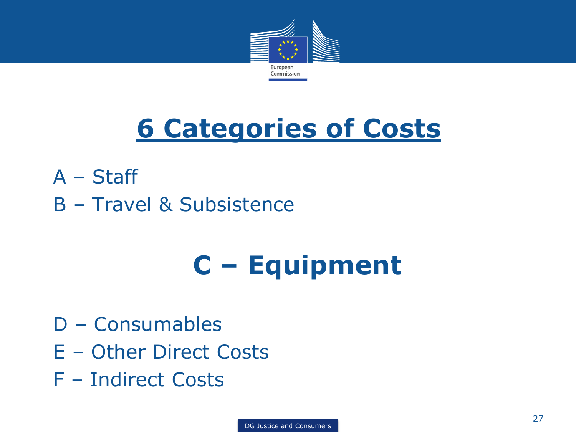

# **6 Categories of Costs**

- A Staff
- B Travel & Subsistence

# **C – Equipment**

- D Consumables
- E Other Direct Costs
- F Indirect Costs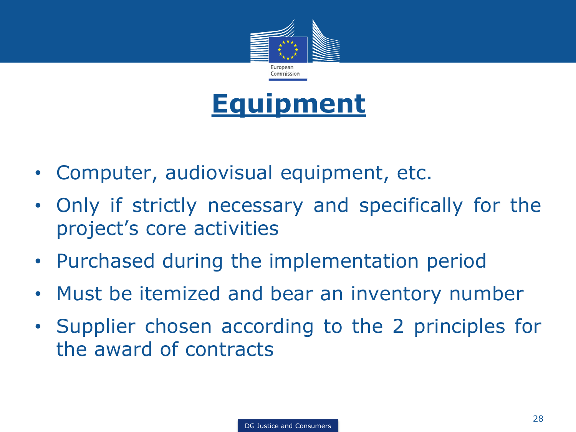



- Computer, audiovisual equipment, etc.
- Only if strictly necessary and specifically for the project's core activities
- Purchased during the implementation period
- Must be itemized and bear an inventory number
- Supplier chosen according to the 2 principles for the award of contracts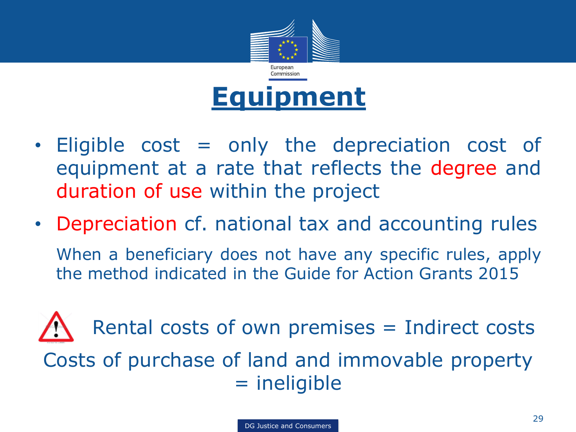

- Eligible cost = only the depreciation cost of equipment at a rate that reflects the degree and duration of use within the project
- Depreciation cf. national tax and accounting rules When a beneficiary does not have any specific rules, apply the method indicated in the Guide for Action Grants 2015

Rental costs of own premises = Indirect costs Costs of purchase of land and immovable property = ineligible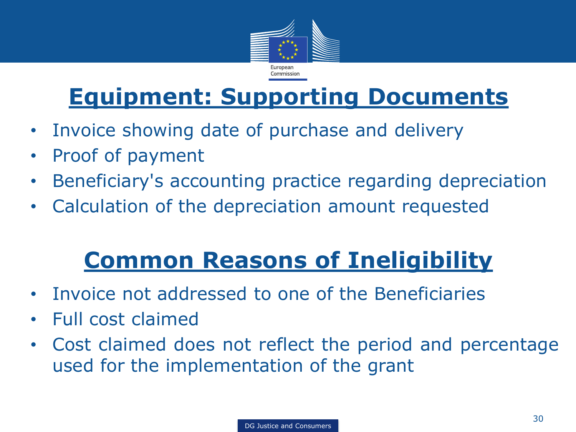

#### **Equipment: Supporting Documents**

- Invoice showing date of purchase and delivery
- Proof of payment
- Beneficiary's accounting practice regarding depreciation
- Calculation of the depreciation amount requested

### **Common Reasons of Ineligibility**

- Invoice not addressed to one of the Beneficiaries
- Full cost claimed
- Cost claimed does not reflect the period and percentage used for the implementation of the grant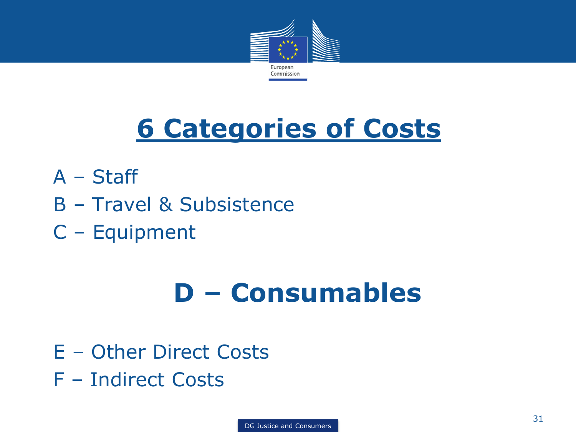

# **6 Categories of Costs**

- A Staff
- B Travel & Subsistence
- C Equipment

# **D – Consumables**

- E Other Direct Costs
- F Indirect Costs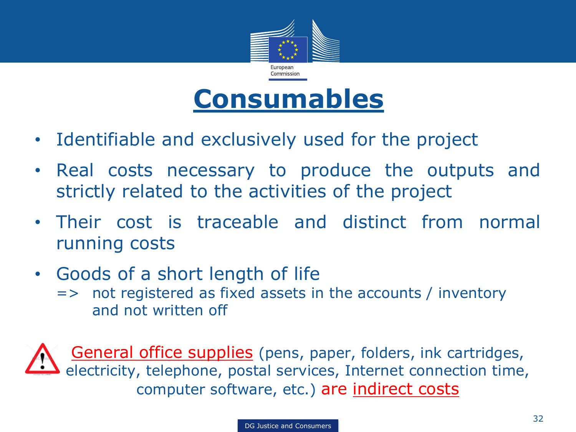



- Identifiable and exclusively used for the project
- Real costs necessary to produce the outputs and strictly related to the activities of the project
- Their cost is traceable and distinct from normal running costs
- Goods of a short length of life
	- => not registered as fixed assets in the accounts / inventory and not written off

General office supplies (pens, paper, folders, ink cartridges, electricity, telephone, postal services, Internet connection time, computer software, etc.) are indirect costs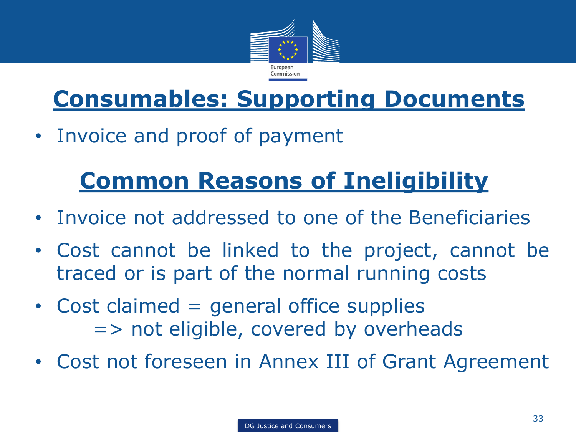

#### **Consumables: Supporting Documents**

• Invoice and proof of payment

#### **Common Reasons of Ineligibility**

- Invoice not addressed to one of the Beneficiaries
- Cost cannot be linked to the project, cannot be traced or is part of the normal running costs
- Cost claimed  $=$  general office supplies => not eligible, covered by overheads
- Cost not foreseen in Annex III of Grant Agreement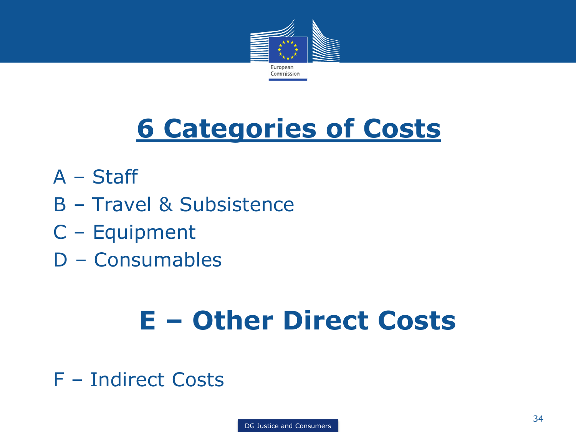

# **6 Categories of Costs**

- A Staff
- B Travel & Subsistence
- C Equipment
- D Consumables

# **E – Other Direct Costs**

F – Indirect Costs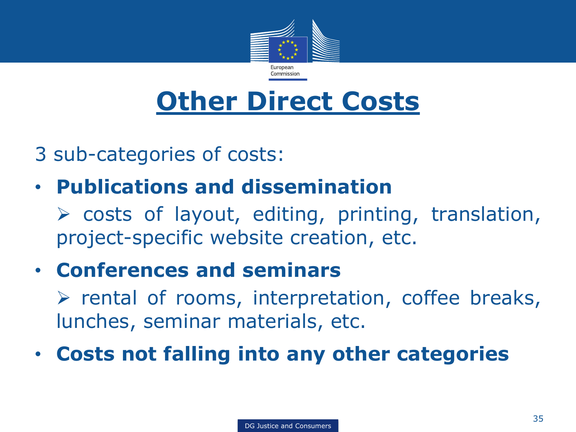

3 sub-categories of costs:

• **Publications and dissemination**

 $\triangleright$  costs of layout, editing, printing, translation, project-specific website creation, etc.

• **Conferences and seminars**

 $\triangleright$  rental of rooms, interpretation, coffee breaks, lunches, seminar materials, etc.

• **Costs not falling into any other categories**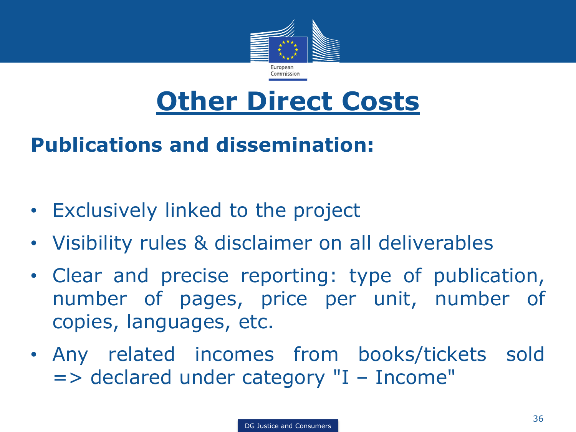

#### **Publications and dissemination:**

- Exclusively linked to the project
- Visibility rules & disclaimer on all deliverables
- Clear and precise reporting: type of publication, number of pages, price per unit, number of copies, languages, etc.
- Any related incomes from books/tickets sold => declared under category "I – Income"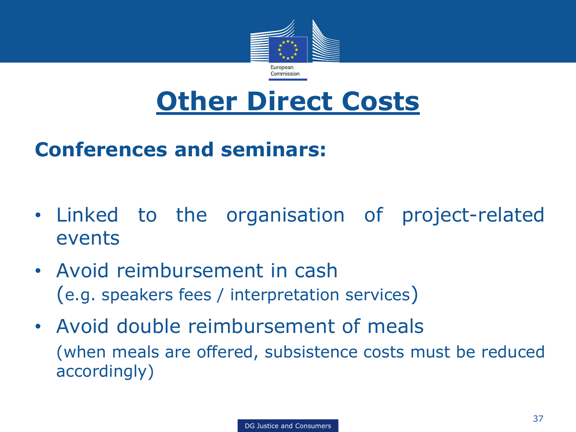

#### **Conferences and seminars:**

- Linked to the organisation of project-related events
- Avoid reimbursement in cash (e.g. speakers fees / interpretation services)
- Avoid double reimbursement of meals (when meals are offered, subsistence costs must be reduced accordingly)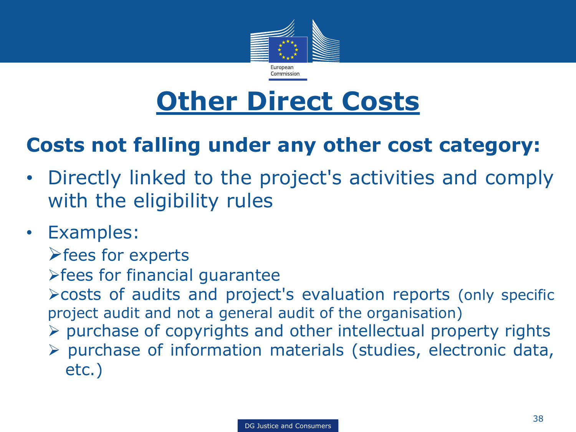

#### **Costs not falling under any other cost category:**

- Directly linked to the project's activities and comply with the eligibility rules
- Examples:
	- $\blacktriangleright$  fees for experts
	- fees for financial guarantee
	- costs of audits and project's evaluation reports (only specific project audit and not a general audit of the organisation)
	- $\triangleright$  purchase of copyrights and other intellectual property rights
	- $\triangleright$  purchase of information materials (studies, electronic data, etc.)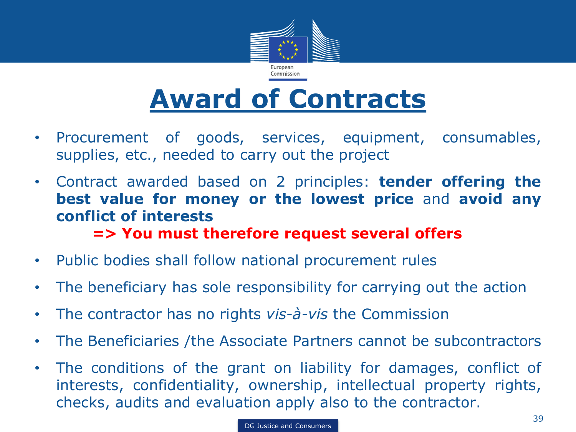

# **Award of Contracts**

- Procurement of goods, services, equipment, consumables, supplies, etc., needed to carry out the project
- Contract awarded based on 2 principles: **tender offering the best value for money or the lowest price** and **avoid any conflict of interests**

**=> You must therefore request several offers**

- Public bodies shall follow national procurement rules
- The beneficiary has sole responsibility for carrying out the action
- The contractor has no rights *vis-à-vis* the Commission
- The Beneficiaries /the Associate Partners cannot be subcontractors
- The conditions of the grant on liability for damages, conflict of interests, confidentiality, ownership, intellectual property rights, checks, audits and evaluation apply also to the contractor.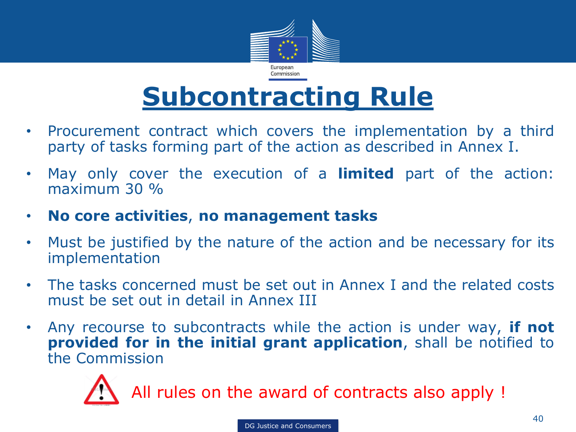

### **Subcontracting Rule**

- Procurement contract which covers the implementation by a third party of tasks forming part of the action as described in Annex I.
- May only cover the execution of a **limited** part of the action: maximum 30 %
- **No core activities**, **no management tasks**
- Must be justified by the nature of the action and be necessary for its implementation
- The tasks concerned must be set out in Annex I and the related costs must be set out in detail in Annex III
- Any recourse to subcontracts while the action is under way, **if not provided for in the initial grant application**, shall be notified to the Commission



All rules on the award of contracts also apply !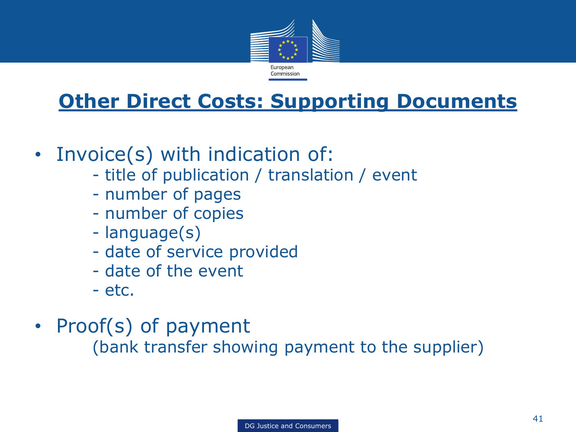

#### **Other Direct Costs: Supporting Documents**

- Invoice(s) with indication of:
	- title of publication / translation / event
	- number of pages
	- number of copies
	- language(s)
	- date of service provided
	- date of the event
	- etc.
- Proof(s) of payment

(bank transfer showing payment to the supplier)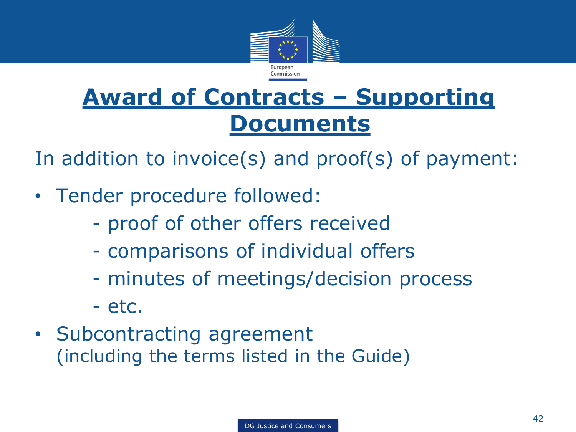

#### **Award of Contracts – Supporting Documents**

In addition to invoice(s) and proof(s) of payment:

- Tender procedure followed:
	- proof of other offers received
	- comparisons of individual offers
	- minutes of meetings/decision process
	- etc.
- Subcontracting agreement (including the terms listed in the Guide)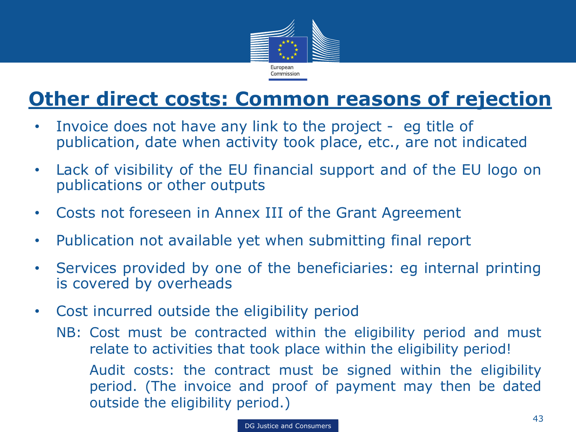

#### **Other direct costs: Common reasons of rejection**

- Invoice does not have any link to the project eg title of publication, date when activity took place, etc., are not indicated
- Lack of visibility of the EU financial support and of the EU logo on publications or other outputs
- Costs not foreseen in Annex III of the Grant Agreement
- Publication not available yet when submitting final report
- Services provided by one of the beneficiaries: eg internal printing is covered by overheads
- Cost incurred outside the eligibility period
	- NB: Cost must be contracted within the eligibility period and must relate to activities that took place within the eligibility period! Audit costs: the contract must be signed within the eligibility period. (The invoice and proof of payment may then be dated outside the eligibility period.)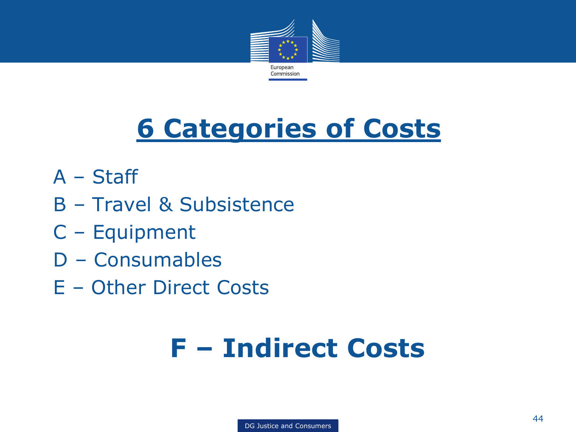

# **6 Categories of Costs**

- A Staff
- B Travel & Subsistence
- C Equipment
- D Consumables
- E Other Direct Costs

# **F – Indirect Costs**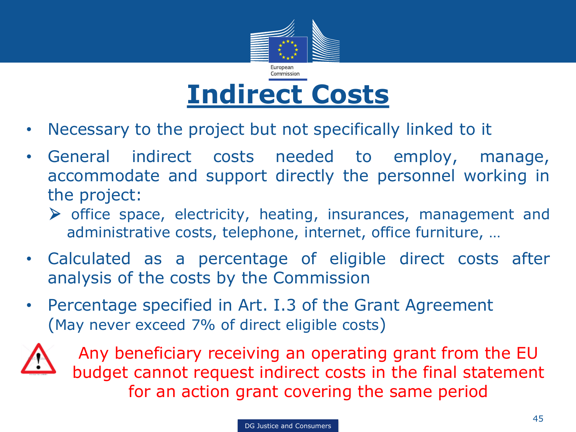

- Necessary to the project but not specifically linked to it
- General indirect costs needed to employ, manage, accommodate and support directly the personnel working in the project:
	- office space, electricity, heating, insurances, management and administrative costs, telephone, internet, office furniture, …
- Calculated as a percentage of eligible direct costs after analysis of the costs by the Commission
- Percentage specified in Art. I.3 of the Grant Agreement (May never exceed 7% of direct eligible costs)



Any beneficiary receiving an operating grant from the EU budget cannot request indirect costs in the final statement for an action grant covering the same period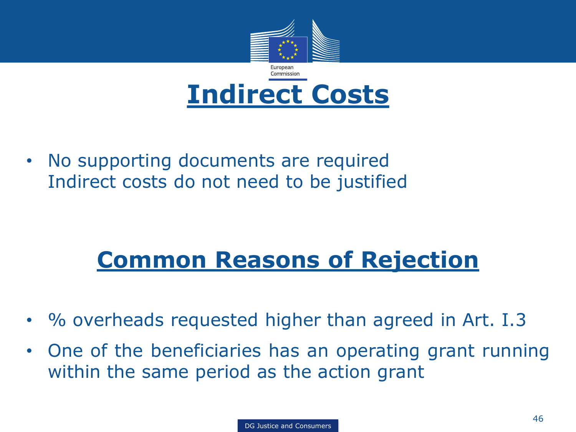

• No supporting documents are required Indirect costs do not need to be justified

#### **Common Reasons of Rejection**

- % overheads requested higher than agreed in Art. I.3
- One of the beneficiaries has an operating grant running within the same period as the action grant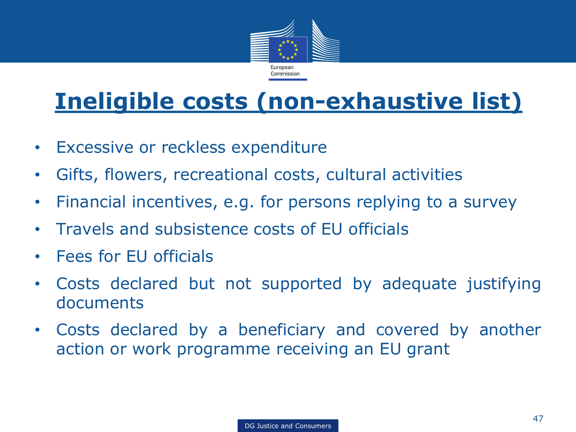

#### **Ineligible costs (non-exhaustive list)**

- Excessive or reckless expenditure
- Gifts, flowers, recreational costs, cultural activities
- Financial incentives, e.g. for persons replying to a survey
- Travels and subsistence costs of EU officials
- Fees for EU officials
- Costs declared but not supported by adequate justifying documents
- Costs declared by a beneficiary and covered by another action or work programme receiving an EU grant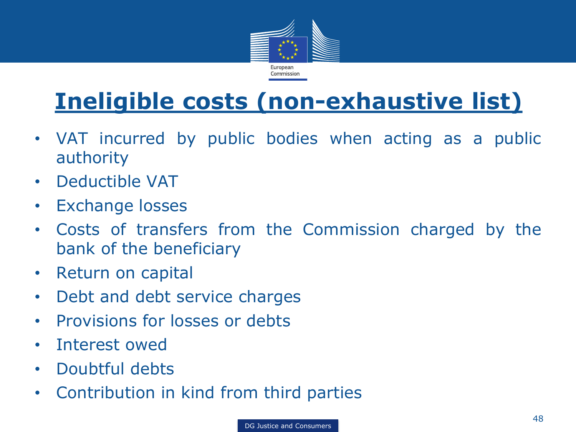

#### **Ineligible costs (non-exhaustive list)**

- VAT incurred by public bodies when acting as a public authority
- Deductible VAT
- Exchange losses
- Costs of transfers from the Commission charged by the bank of the beneficiary
- Return on capital
- Debt and debt service charges
- Provisions for losses or debts
- Interest owed
- Doubtful debts
- Contribution in kind from third parties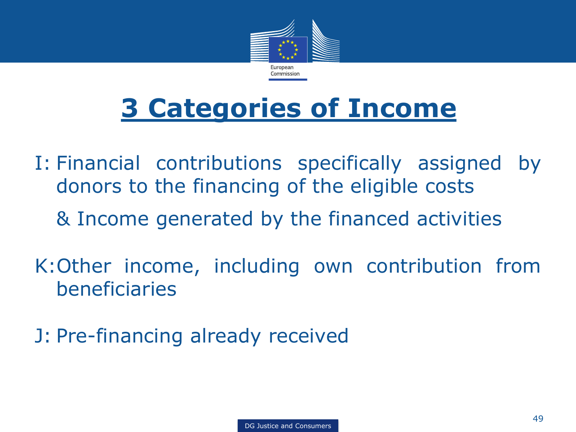

# **3 Categories of Income**

- I: Financial contributions specifically assigned by donors to the financing of the eligible costs & Income generated by the financed activities
- K:Other income, including own contribution from beneficiaries
- J: Pre-financing already received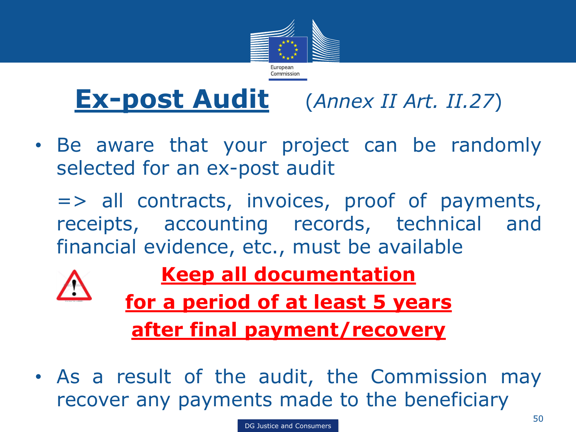

### **Ex-post Audit** (*Annex II Art. II.27*)

- Be aware that your project can be randomly selected for an ex-post audit
	- => all contracts, invoices, proof of payments, receipts, accounting records, technical and financial evidence, etc., must be available



**Keep all documentation** 

**for a period of at least 5 years after final payment/recovery**

• As a result of the audit, the Commission may recover any payments made to the beneficiary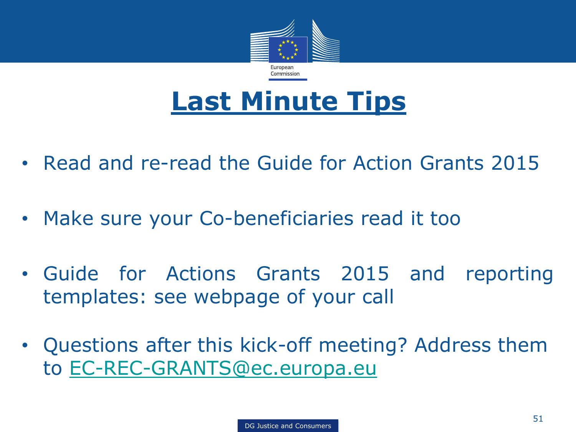

### **Last Minute Tips**

- Read and re-read the Guide for Action Grants 2015
- Make sure your Co-beneficiaries read it too
- Guide for Actions Grants 2015 and reporting templates: see webpage of your call
- Questions after this kick-off meeting? Address them to [EC-REC-GRANTS@ec.europa.eu](mailto:EC-REC-GRANTS@ec.europa.eu)